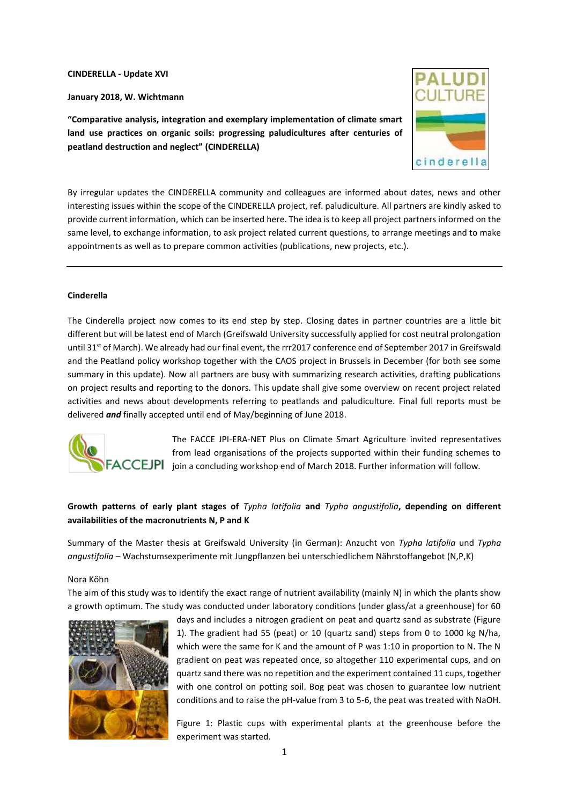**CINDERELLA - Update XVI**

**January 2018, W. Wichtmann**

**"Comparative analysis, integration and exemplary implementation of climate smart land use practices on organic soils: progressing paludicultures after centuries of peatland destruction and neglect" (CINDERELLA)**



By irregular updates the CINDERELLA community and colleagues are informed about dates, news and other interesting issues within the scope of the CINDERELLA project, ref. paludiculture. All partners are kindly asked to provide current information, which can be inserted here. The idea is to keep all project partners informed on the same level, to exchange information, to ask project related current questions, to arrange meetings and to make appointments as well as to prepare common activities (publications, new projects, etc.).

# **Cinderella**

The Cinderella project now comes to its end step by step. Closing dates in partner countries are a little bit different but will be latest end of March (Greifswald University successfully applied for cost neutral prolongation until 31<sup>st</sup> of March). We already had our final event, the rrr2017 conference end of September 2017 in Greifswald and the Peatland policy workshop together with the CAOS project in Brussels in December (for both see some summary in this update). Now all partners are busy with summarizing research activities, drafting publications on project results and reporting to the donors. This update shall give some overview on recent project related activities and news about developments referring to peatlands and paludiculture. Final full reports must be delivered *and* finally accepted until end of May/beginning of June 2018.



The FACCE JPI-ERA-NET Plus on Climate Smart Agriculture invited representatives from lead organisations of the projects supported within their funding schemes to **FACCEJPI** join a concluding workshop end of March 2018. Further information will follow.

# **Growth patterns of early plant stages of** *Typha latifolia* **and** *Typha angustifolia***, depending on different availabilities of the macronutrients N, P and K**

Summary of the Master thesis at Greifswald University (in German): Anzucht von *Typha latifolia* und *Typha angustifolia* – Wachstumsexperimente mit Jungpflanzen bei unterschiedlichem Nährstoffangebot (N,P,K)

# Nora Köhn

The aim of this study was to identify the exact range of nutrient availability (mainly N) in which the plants show a growth optimum. The study was conducted under laboratory conditions (under glass/at a greenhouse) for 60



days and includes a nitrogen gradient on peat and quartz sand as substrate (Figure 1). The gradient had 55 (peat) or 10 (quartz sand) steps from 0 to 1000 kg N/ha, which were the same for K and the amount of P was 1:10 in proportion to N. The N gradient on peat was repeated once, so altogether 110 experimental cups, and on quartz sand there was no repetition and the experiment contained 11 cups, together with one control on potting soil. Bog peat was chosen to guarantee low nutrient conditions and to raise the pH-value from 3 to 5-6, the peat was treated with NaOH.

Figure 1: Plastic cups with experimental plants at the greenhouse before the experiment was started.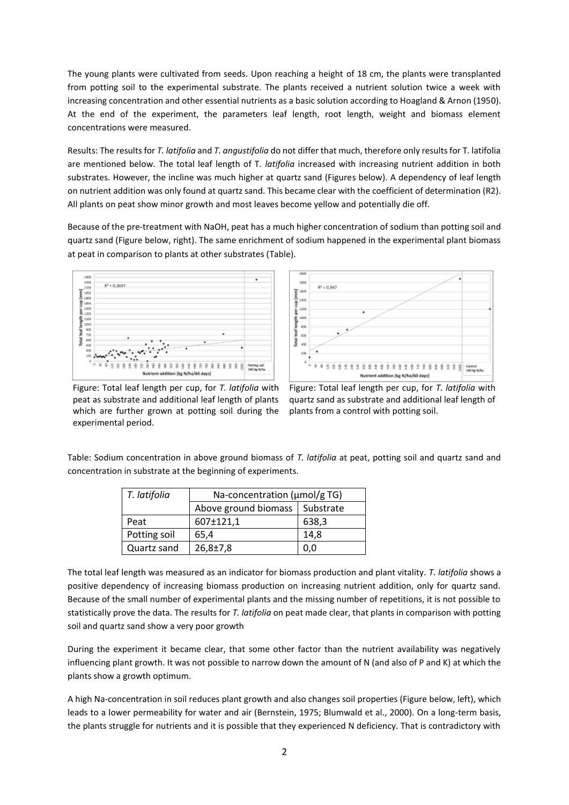The young plants were cultivated from seeds. Upon reaching a height of 18 cm, the plants were transplanted from potting soil to the experimental substrate. The plants received a nutrient solution twice a week with increasing concentration and other essential nutrients as a basic solution according to Hoagland & Arnon (1950). At the end of the experiment, the parameters leaf length, root length, weight and biomass element concentrations were measured.

Results: The results for *T. latifolia* and *T. angustifolia* do not differ that much, therefore only results for T. latifolia are mentioned below. The total leaf length of T*. latifolia* increased with increasing nutrient addition in both substrates. However, the incline was much higher at quartz sand (Figures below). A dependency of leaf length on nutrient addition was only found at quartz sand. This became clear with the coefficient of determination (R2). All plants on peat show minor growth and most leaves become yellow and potentially die off.

Because of the pre-treatment with NaOH, peat has a much higher concentration of sodium than potting soil and quartz sand (Figure below, right). The same enrichment of sodium happened in the experimental plant biomass at peat in comparison to plants at other substrates (Table).





Figure: Total leaf length per cup, for *T. latifolia* with peat as substrate and additional leaf length of plants which are further grown at potting soil during the experimental period.

Figure: Total leaf length per cup, for *T. latifolia* with quartz sand as substrate and additional leaf length of plants from a control with potting soil.

Table: Sodium concentration in above ground biomass of *T. latifolia* at peat, potting soil and quartz sand and concentration in substrate at the beginning of experiments.

| $\mid$ T. latifolia | Na-concentration ( $\mu$ mol/g TG) |           |
|---------------------|------------------------------------|-----------|
|                     | Above ground biomass               | Substrate |
| Peat                | 607±121,1                          | 638,3     |
| Potting soil        | 65.4                               | 14.8      |
| Quartz sand         | $26,8{\pm}7,8$                     | 0,0       |

The total leaf length was measured as an indicator for biomass production and plant vitality. *T. latifolia* shows a positive dependency of increasing biomass production on increasing nutrient addition, only for quartz sand. Because of the small number of experimental plants and the missing number of repetitions, it is not possible to statistically prove the data. The results for *T. latifolia* on peat made clear, that plants in comparison with potting soil and quartz sand show a very poor growth

During the experiment it became clear, that some other factor than the nutrient availability was negatively influencing plant growth. It was not possible to narrow down the amount of N (and also of P and K) at which the plants show a growth optimum.

A high Na-concentration in soil reduces plant growth and also changes soil properties (Figure below, left), which leads to a lower permeability for water and air (Bernstein, 1975; Blumwald et al., 2000). On a long-term basis, the plants struggle for nutrients and it is possible that they experienced N deficiency. That is contradictory with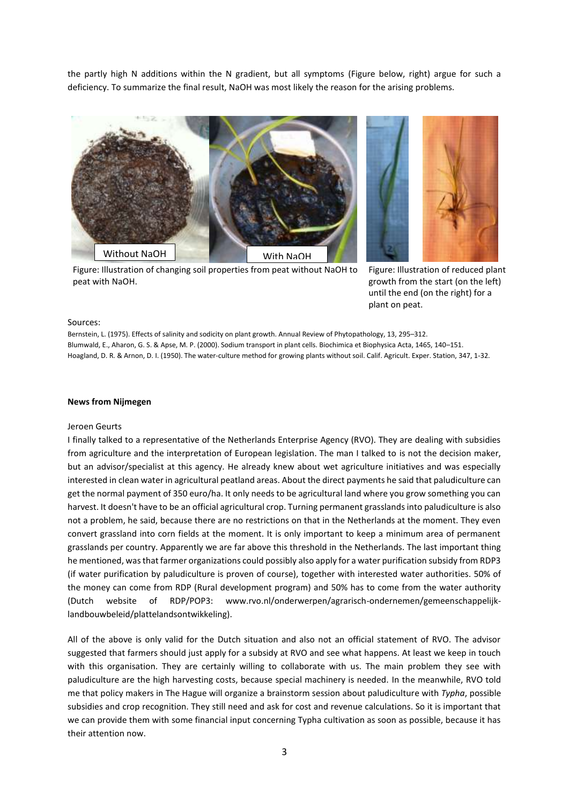the partly high N additions within the N gradient, but all symptoms (Figure below, right) argue for such a deficiency. To summarize the final result, NaOH was most likely the reason for the arising problems.



Figure: Illustration of changing soil properties from peat without NaOH to peat with NaOH.



Figure: Illustration of reduced plant growth from the start (on the left) until the end (on the right) for a plant on peat.

## Sources:

Bernstein, L. (1975). Effects of salinity and sodicity on plant growth. Annual Review of Phytopathology, 13, 295–312. Blumwald, E., Aharon, G. S. & Apse, M. P. (2000). Sodium transport in plant cells. Biochimica et Biophysica Acta, 1465, 140–151. Hoagland, D. R. & Arnon, D. I. (1950). The water-culture method for growing plants without soil. Calif. Agricult. Exper. Station, 347, 1-32.

## **News from Nijmegen**

#### Jeroen Geurts

I finally talked to a representative of the Netherlands Enterprise Agency (RVO). They are dealing with subsidies from agriculture and the interpretation of European legislation. The man I talked to is not the decision maker, but an advisor/specialist at this agency. He already knew about wet agriculture initiatives and was especially interested in clean water in agricultural peatland areas. About the direct payments he said that paludiculture can get the normal payment of 350 euro/ha. It only needs to be agricultural land where you grow something you can harvest. It doesn't have to be an official agricultural crop. Turning permanent grasslands into paludiculture is also not a problem, he said, because there are no restrictions on that in the Netherlands at the moment. They even convert grassland into corn fields at the moment. It is only important to keep a minimum area of permanent grasslands per country. Apparently we are far above this threshold in the Netherlands. The last important thing he mentioned, was that farmer organizations could possibly also apply for a water purification subsidy from RDP3 (if water purification by paludiculture is proven of course), together with interested water authorities. 50% of the money can come from RDP (Rural development program) and 50% has to come from the water authority (Dutch website of RDP/POP3: www.rvo.nl/onderwerpen/agrarisch-ondernemen/gemeenschappelijklandbouwbeleid/plattelandsontwikkeling).

All of the above is only valid for the Dutch situation and also not an official statement of RVO. The advisor suggested that farmers should just apply for a subsidy at RVO and see what happens. At least we keep in touch with this organisation. They are certainly willing to collaborate with us. The main problem they see with paludiculture are the high harvesting costs, because special machinery is needed. In the meanwhile, RVO told me that policy makers in The Hague will organize a brainstorm session about paludiculture with *Typha*, possible subsidies and crop recognition. They still need and ask for cost and revenue calculations. So it is important that we can provide them with some financial input concerning Typha cultivation as soon as possible, because it has their attention now.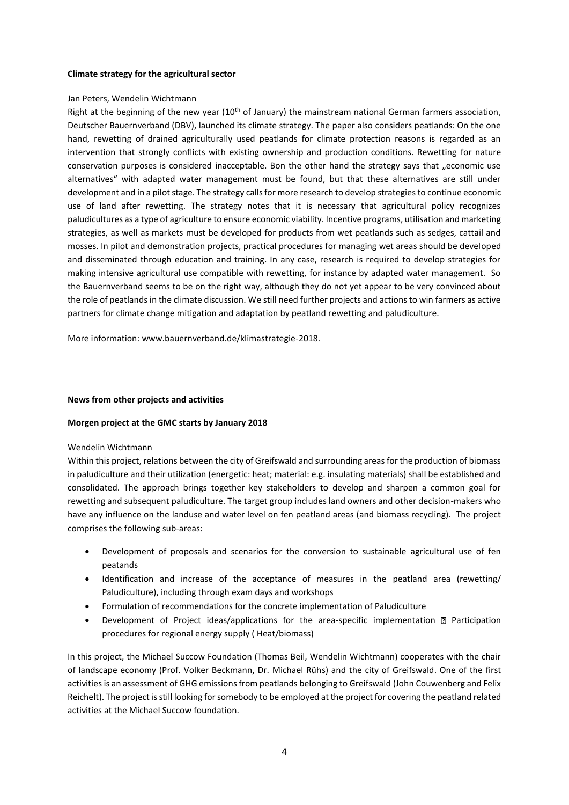# **Climate strategy for the agricultural sector**

# Jan Peters, Wendelin Wichtmann

Right at the beginning of the new year (10<sup>th</sup> of January) the mainstream national German farmers association, Deutscher Bauernverband (DBV), launched its climate strategy. The paper also considers peatlands: On the one hand, rewetting of drained agriculturally used peatlands for climate protection reasons is regarded as an intervention that strongly conflicts with existing ownership and production conditions. Rewetting for nature conservation purposes is considered inacceptable. Bon the other hand the strategy says that "economic use alternatives" with adapted water management must be found, but that these alternatives are still under development and in a pilot stage. The strategy calls for more research to develop strategies to continue economic use of land after rewetting. The strategy notes that it is necessary that agricultural policy recognizes paludicultures as a type of agriculture to ensure economic viability. Incentive programs, utilisation and marketing strategies, as well as markets must be developed for products from wet peatlands such as sedges, cattail and mosses. In pilot and demonstration projects, practical procedures for managing wet areas should be developed and disseminated through education and training. In any case, research is required to develop strategies for making intensive agricultural use compatible with rewetting, for instance by adapted water management. So the Bauernverband seems to be on the right way, although they do not yet appear to be very convinced about the role of peatlands in the climate discussion. We still need further projects and actions to win farmers as active partners for climate change mitigation and adaptation by peatland rewetting and paludiculture.

More information: www.bauernverband.de/klimastrategie-2018.

# **News from other projects and activities**

# **Morgen project at the GMC starts by January 2018**

# Wendelin Wichtmann

Within this project, relations between the city of Greifswald and surrounding areas for the production of biomass in paludiculture and their utilization (energetic: heat; material: e.g. insulating materials) shall be established and consolidated. The approach brings together key stakeholders to develop and sharpen a common goal for rewetting and subsequent paludiculture. The target group includes land owners and other decision-makers who have any influence on the landuse and water level on fen peatland areas (and biomass recycling). The project comprises the following sub-areas:

- Development of proposals and scenarios for the conversion to sustainable agricultural use of fen peatands
- Identification and increase of the acceptance of measures in the peatland area (rewetting/ Paludiculture), including through exam days and workshops
- Formulation of recommendations for the concrete implementation of Paludiculture
- Development of Project ideas/applications for the area-specific implementation  $\mathbb D$  Participation procedures for regional energy supply ( Heat/biomass)

In this project, the Michael Succow Foundation (Thomas Beil, Wendelin Wichtmann) cooperates with the chair of landscape economy (Prof. Volker Beckmann, Dr. Michael Rühs) and the city of Greifswald. One of the first activities is an assessment of GHG emissions from peatlands belonging to Greifswald (John Couwenberg and Felix Reichelt). The project is still looking for somebody to be employed at the project for covering the peatland related activities at the Michael Succow foundation.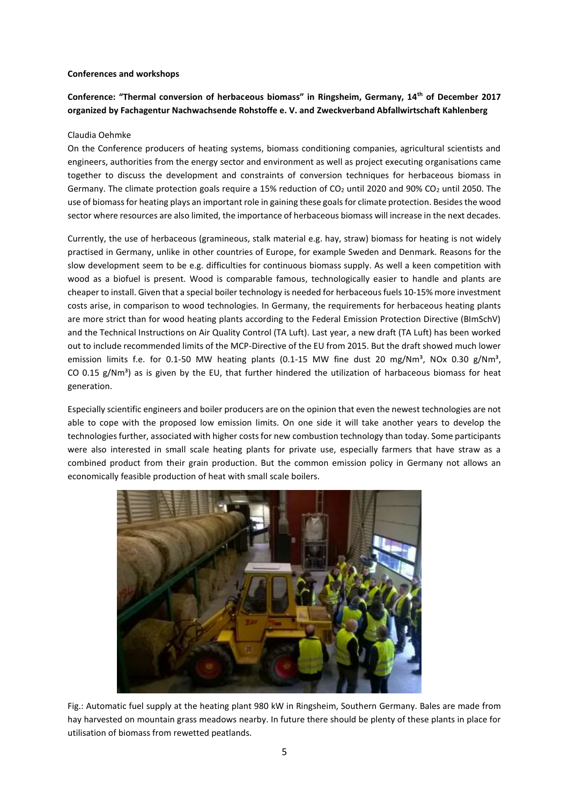# **Conferences and workshops**

# **Conference: "Thermal conversion of herbaceous biomass" in Ringsheim, Germany, 14th of December 2017 organized by Fachagentur Nachwachsende Rohstoffe e. V. and Zweckverband Abfallwirtschaft Kahlenberg**

# Claudia Oehmke

On the Conference producers of heating systems, biomass conditioning companies, agricultural scientists and engineers, authorities from the energy sector and environment as well as project executing organisations came together to discuss the development and constraints of conversion techniques for herbaceous biomass in Germany. The climate protection goals require a 15% reduction of CO<sub>2</sub> until 2020 and 90% CO<sub>2</sub> until 2050. The use of biomass for heating plays an important role in gaining these goals for climate protection. Besides the wood sector where resources are also limited, the importance of herbaceous biomass will increase in the next decades.

Currently, the use of herbaceous (gramineous, stalk material e.g. hay, straw) biomass for heating is not widely practised in Germany, unlike in other countries of Europe, for example Sweden and Denmark. Reasons for the slow development seem to be e.g. difficulties for continuous biomass supply. As well a keen competition with wood as a biofuel is present. Wood is comparable famous, technologically easier to handle and plants are cheaper to install. Given that a special boiler technology is needed for herbaceous fuels 10-15% more investment costs arise, in comparison to wood technologies. In Germany, the requirements for herbaceous heating plants are more strict than for wood heating plants according to the Federal Emission Protection Directive (BImSchV) and the Technical Instructions on Air Quality Control (TA Luft). Last year, a new draft (TA Luft) has been worked out to include recommended limits of the MCP-Directive of the EU from 2015. But the draft showed much lower emission limits f.e. for 0.1-50 MW heating plants (0.1-15 MW fine dust 20 mg/Nm<sup>3</sup>, NOx 0.30 g/Nm<sup>3</sup>, CO 0.15  $g/Nm<sup>3</sup>$ ) as is given by the EU, that further hindered the utilization of harbaceous biomass for heat generation.

Especially scientific engineers and boiler producers are on the opinion that even the newest technologies are not able to cope with the proposed low emission limits. On one side it will take another years to develop the technologies further, associated with higher costs for new combustion technology than today. Some participants were also interested in small scale heating plants for private use, especially farmers that have straw as a combined product from their grain production. But the common emission policy in Germany not allows an economically feasible production of heat with small scale boilers.



Fig.: Automatic fuel supply at the heating plant 980 kW in Ringsheim, Southern Germany. Bales are made from hay harvested on mountain grass meadows nearby. In future there should be plenty of these plants in place for utilisation of biomass from rewetted peatlands.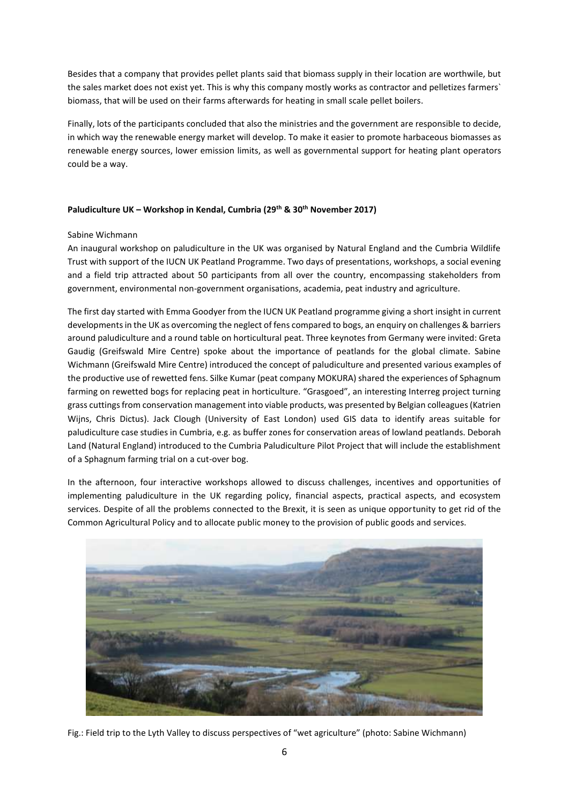Besides that a company that provides pellet plants said that biomass supply in their location are worthwile, but the sales market does not exist yet. This is why this company mostly works as contractor and pelletizes farmers` biomass, that will be used on their farms afterwards for heating in small scale pellet boilers.

Finally, lots of the participants concluded that also the ministries and the government are responsible to decide, in which way the renewable energy market will develop. To make it easier to promote harbaceous biomasses as renewable energy sources, lower emission limits, as well as governmental support for heating plant operators could be a way.

# **Paludiculture UK – Workshop in Kendal, Cumbria (29th & 30th November 2017)**

# Sabine Wichmann

An inaugural workshop on paludiculture in the UK was organised by Natural England and the Cumbria Wildlife Trust with support of the IUCN UK Peatland Programme. Two days of presentations, workshops, a social evening and a field trip attracted about 50 participants from all over the country, encompassing stakeholders from government, environmental non-government organisations, academia, peat industry and agriculture.

The first day started with Emma Goodyer from the IUCN UK Peatland programme giving a short insight in current developments in the UK as overcoming the neglect of fens compared to bogs, an enquiry on challenges & barriers around paludiculture and a round table on horticultural peat. Three keynotes from Germany were invited: Greta Gaudig (Greifswald Mire Centre) spoke about the importance of peatlands for the global climate. Sabine Wichmann (Greifswald Mire Centre) introduced the concept of paludiculture and presented various examples of the productive use of rewetted fens. Silke Kumar (peat company MOKURA) shared the experiences of Sphagnum farming on rewetted bogs for replacing peat in horticulture. "Grasgoed", an interesting Interreg project turning grass cuttings from conservation management into viable products, was presented by Belgian colleagues (Katrien Wijns, Chris Dictus). Jack Clough (University of East London) used GIS data to identify areas suitable for paludiculture case studies in Cumbria, e.g. as buffer zones for conservation areas of lowland peatlands. Deborah Land (Natural England) introduced to the Cumbria Paludiculture Pilot Project that will include the establishment of a Sphagnum farming trial on a cut-over bog.

In the afternoon, four interactive workshops allowed to discuss challenges, incentives and opportunities of implementing paludiculture in the UK regarding policy, financial aspects, practical aspects, and ecosystem services. Despite of all the problems connected to the Brexit, it is seen as unique opportunity to get rid of the Common Agricultural Policy and to allocate public money to the provision of public goods and services.



Fig.: Field trip to the Lyth Valley to discuss perspectives of "wet agriculture" (photo: Sabine Wichmann)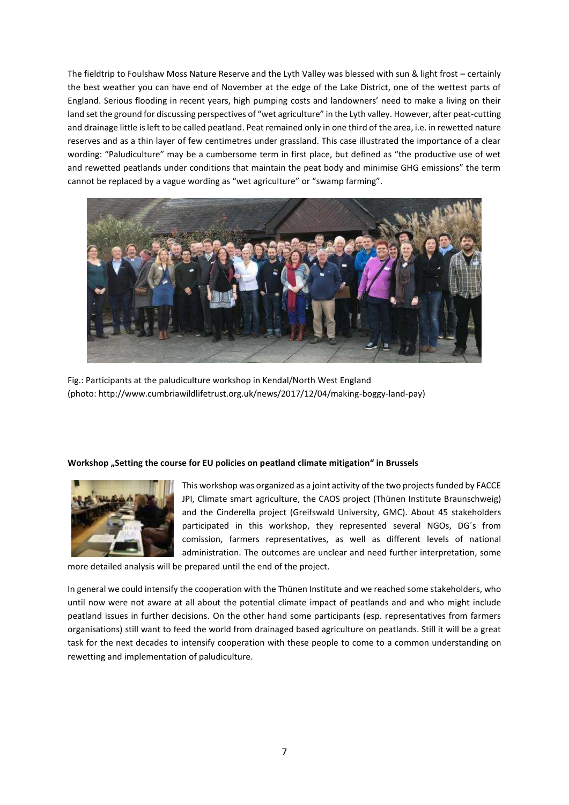The fieldtrip to Foulshaw Moss Nature Reserve and the Lyth Valley was blessed with sun & light frost – certainly the best weather you can have end of November at the edge of the Lake District, one of the wettest parts of England. Serious flooding in recent years, high pumping costs and landowners' need to make a living on their land set the ground for discussing perspectives of "wet agriculture" in the Lyth valley. However, after peat-cutting and drainage little is left to be called peatland. Peat remained only in one third of the area, i.e. in rewetted nature reserves and as a thin layer of few centimetres under grassland. This case illustrated the importance of a clear wording: "Paludiculture" may be a cumbersome term in first place, but defined as "the productive use of wet and rewetted peatlands under conditions that maintain the peat body and minimise GHG emissions" the term cannot be replaced by a vague wording as "wet agriculture" or "swamp farming".



Fig.: Participants at the paludiculture workshop in Kendal/North West England (photo: http://www.cumbriawildlifetrust.org.uk/news/2017/12/04/making-boggy-land-pay)

## Workshop "Setting the course for EU policies on peatland climate mitigation" in Brussels



This workshop was organized as a joint activity of the two projects funded by FACCE JPI, Climate smart agriculture, the CAOS project (Thünen Institute Braunschweig) and the Cinderella project (Greifswald University, GMC). About 45 stakeholders participated in this workshop, they represented several NGOs, DG´s from comission, farmers representatives, as well as different levels of national administration. The outcomes are unclear and need further interpretation, some

more detailed analysis will be prepared until the end of the project.

In general we could intensify the cooperation with the Thünen Institute and we reached some stakeholders, who until now were not aware at all about the potential climate impact of peatlands and and who might include peatland issues in further decisions. On the other hand some participants (esp. representatives from farmers organisations) still want to feed the world from drainaged based agriculture on peatlands. Still it will be a great task for the next decades to intensify cooperation with these people to come to a common understanding on rewetting and implementation of paludiculture.